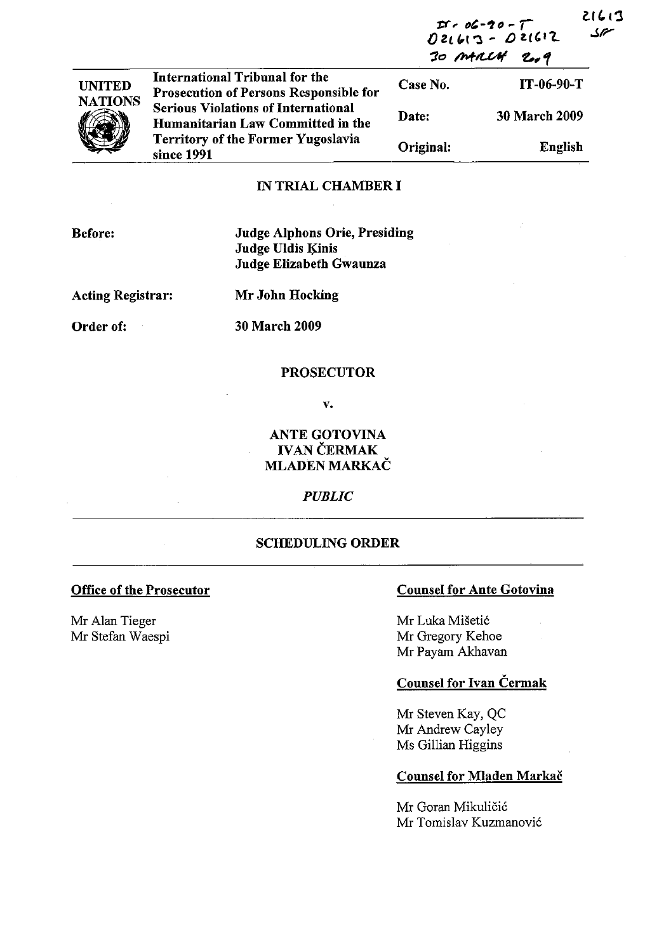|                | <b>International Tribunal for the</b><br><b>Prosecution of Persons Responsible for</b><br><b>Serious Violations of International</b><br>Humanitarian Law Committed in the<br><b>Territory of the Former Yugoslavia</b><br>since 1991 | しいし<br>$25 - 20 - 7$<br>Dz1613 - 021612<br>$\mathcal{L}$<br>30 MARCH<br>2.9 |                      |
|----------------|--------------------------------------------------------------------------------------------------------------------------------------------------------------------------------------------------------------------------------------|-----------------------------------------------------------------------------|----------------------|
| <b>UNITED</b>  |                                                                                                                                                                                                                                      | Case No.                                                                    | IT-06-90-T           |
| <b>NATIONS</b> |                                                                                                                                                                                                                                      | Date:                                                                       | <b>30 March 2009</b> |
|                |                                                                                                                                                                                                                                      | Original:                                                                   | English              |
|                | IN TRIAL CHAMRER I                                                                                                                                                                                                                   |                                                                             |                      |

### IN TRIAL CHAMBER I

| <b>Before:</b> |
|----------------|
|                |

Judge Alphons Orie, Presiding Judge Uldis Kinis Judge Elizabeth Gwaunza

Acting Registrar:

Mr John Hocking

Order of:

30 March 2009

#### PROSECUTOR

v.

## ANTE GOTOVINA IVAN ČERMAK MLADEN MARKAČ

## *PUBLIC*

## SCHEDULING ORDER

#### Office of the Prosecutor

Mr Alan Tieger Mr Stefan Waespi

## Counsel for Ante Gotovina

Mr Luka Mišetić Mr Gregory Kehoe Mr Payam Akhavan

# Counsel for Ivan Čermak

Mr Steven Kay, QC Mr Andrew Cayley Ms Gillian Higgins

## Counsel for Mladen Markač

Mr Goran Mikuličić Mr Tomislav Kuzmanović 21613